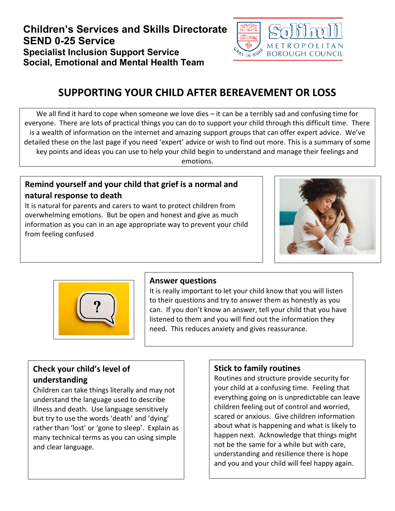

# **SUPPORTING YOUR CHILD AFTER BEREAVEMENT OR LOSS**

We all find it hard to cope when someone we love dies – it can be a terribly sad and confusing time for everyone. There are lots of practical things you can do to support your child through this difficult time. There is a wealth of information on the internet and amazing support groups that can offer expert advice. We've detailed these on the last page if you need 'expert' advice or wish to find out more. This is a summary of some key points and ideas you can use to help your child begin to understand and manage their feelings and emotions.

#### **Remind yourself and your child that grief is a normal and natural response to death**

It is natural for parents and carers to want to protect children from overwhelming emotions. But be open and honest and give as much information as you can in an age appropriate way to prevent your child from feeling confused





#### **Answer questions**

It is really important to let your child know that you will listen to their questions and try to answer them as honestly as you can. If you don't know an answer, tell your child that you have listened to them and you will find out the information they need. This reduces anxiety and gives reassurance.

#### **Check your child's level of understanding**

Children can take things literally and may not understand the language used to describe illness and death. Use language sensitively but try to use the words 'death' and 'dying' rather than 'lost' or 'gone to sleep'. Explain as many technical terms as you can using simple and clear language.

#### **Stick to family routines**

Routines and structure provide security for your child at a confusing time. Feeling that everything going on is unpredictable can leave children feeling out of control and worried, scared or anxious. Give children information about what is happening and what is likely to happen next. Acknowledge that things might not be the same for a while but with care, understanding and resilience there is hope and you and your child will feel happy again.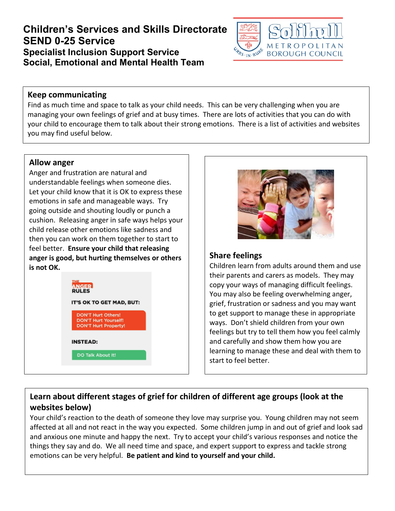

#### **Keep communicating**

Find as much time and space to talk as your child needs. This can be very challenging when you are managing your own feelings of grief and at busy times. There are lots of activities that you can do with your child to encourage them to talk about their strong emotions. There is a list of activities and websites you may find useful below.

#### **Allow anger**

Anger and frustration are natural and understandable feelings when someone dies. Let your child know that it is OK to express these emotions in safe and manageable ways. Try going outside and shouting loudly or punch a cushion. Releasing anger in safe ways helps your child release other emotions like sadness and then you can work on them together to start to feel better. **Ensure your child that releasing anger is good, but hurting themselves or others is not OK.**





#### **Share feelings**

Children learn from adults around them and use their parents and carers as models. They may copy your ways of managing difficult feelings. You may also be feeling overwhelming anger, grief, frustration or sadness and you may want to get support to manage these in appropriate ways. Don't shield children from your own feelings but try to tell them how you feel calmly and carefully and show them how you are learning to manage these and deal with them to start to feel better.

## **Learn about different stages of grief for children of different age groups (look at the websites below)**

Your child's reaction to the death of someone they love may surprise you. Young children may not seem affected at all and not react in the way you expected. Some children jump in and out of grief and look sad and anxious one minute and happy the next. Try to accept your child's various responses and notice the things they say and do. We all need time and space, and expert support to express and tackle strong emotions can be very helpful. **Be patient and kind to yourself and your child.**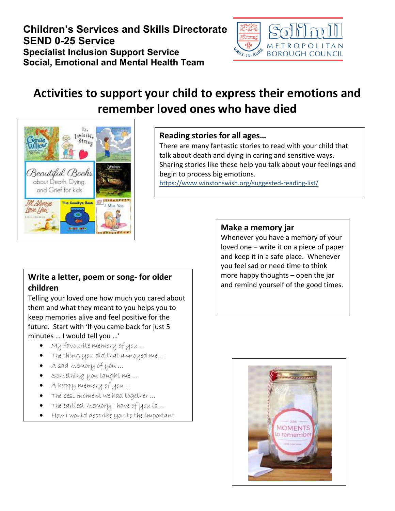

# **Activities to support your child to express their emotions and remember loved ones who have died**



#### **Reading stories for all ages…**

There are many fantastic stories to read with your child that talk about death and dying in caring and sensitive ways. Sharing stories like these help you talk about your feelings and begin to process big emotions. <https://www.winstonswish.org/suggested-reading-list/>

#### **Write a letter, poem or song- for older children**

Telling your loved one how much you cared about them and what they meant to you helps you to keep memories alive and feel positive for the future. Start with 'If you came back for just 5 minutes … I would tell you …'

- My favourite memory of you …
- The thing you did that annoyed me …
- A sad memory of you …

people in my life  $\mathcal{P}$  . The contract with  $\mathcal{P}$ 

- Something you taught me …
- A happy memory of you …
- The best moment we had together ...
- The earliest memory I have of you is ...
- How I would describe you to the important

#### **Make a memory jar**

Whenever you have a memory of your loved one – write it on a piece of paper and keep it in a safe place. Whenever you feel sad or need time to think more happy thoughts – open the jar and remind yourself of the good times.

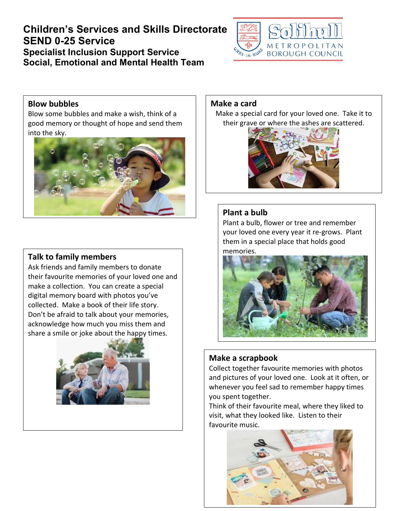

#### **Blow bubbles**

Blow some bubbles and make a wish, think of a good memory or thought of hope and send them into the sky.



#### **Talk to family members**

Ask friends and family members to donate their favourite memories of your loved one and make a collection. You can create a special digital memory board with photos you've collected. Make a book of their life story. Don't be afraid to talk about your memories, acknowledge how much you miss them and share a smile or joke about the happy times.



#### **Make a card**

Make a special card for your loved one. Take it to their grave or where the ashes are scattered.



#### **Plant a bulb**

Plant a bulb, flower or tree and remember your loved one every year it re-grows. Plant them in a special place that holds good memories.



#### **Make a scrapbook**

Collect together favourite memories with photos and pictures of your loved one. Look at it often, or whenever you feel sad to remember happy times you spent together.

Think of their favourite meal, where they liked to visit, what they looked like. Listen to their favourite music.